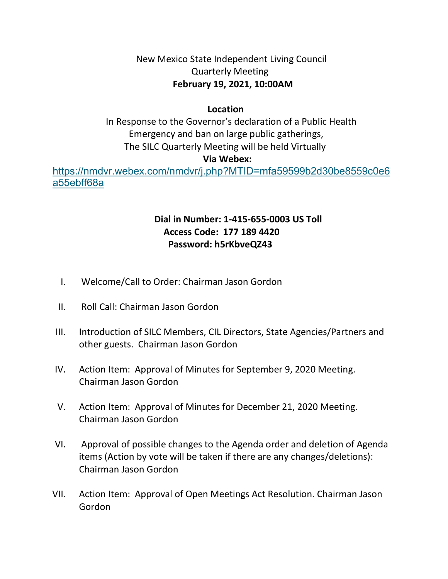## New Mexico State Independent Living Council Quarterly Meeting **February 19, 2021, 10:00AM**

## **Location**

 In Response to the Governor's declaration of a Public Health Emergency and ban on large public gatherings, The SILC Quarterly Meeting will be held Virtually

## **Via Webex:**

[https://nmdvr.webex.com/nmdvr/j.php?MTID=mfa59599b2d30be8559c0e6](https://nmdvr.webex.com/nmdvr/j.php?MTID=mfa59599b2d30be8559c0e6a55ebff68a) [a55ebff68a](https://nmdvr.webex.com/nmdvr/j.php?MTID=mfa59599b2d30be8559c0e6a55ebff68a)

## **Dial in Number: 1-415-655-0003 US Toll Access Code: 177 189 4420 Password: h5rKbveQZ43**

- I. Welcome/Call to Order: Chairman Jason Gordon
- II. Roll Call: Chairman Jason Gordon
- III. Introduction of SILC Members, CIL Directors, State Agencies/Partners and other guests. Chairman Jason Gordon
- IV. Action Item: Approval of Minutes for September 9, 2020 Meeting. Chairman Jason Gordon
- V. Action Item: Approval of Minutes for December 21, 2020 Meeting. Chairman Jason Gordon
- VI. Approval of possible changes to the Agenda order and deletion of Agenda items (Action by vote will be taken if there are any changes/deletions): Chairman Jason Gordon
- VII. Action Item: Approval of Open Meetings Act Resolution. Chairman Jason Gordon